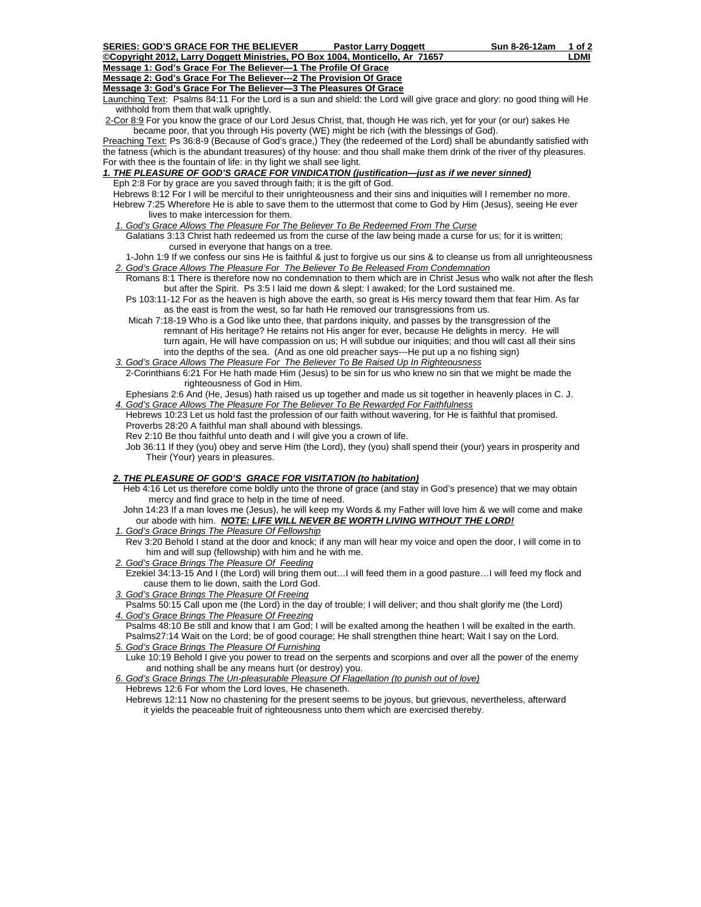**Message 1: God's Grace For The Believer—1 The Profile Of Grace**

**Message 2: God's Grace For The Believer---2 The Provision Of Grace**

**Message 3: God's Grace For The Believer—3 The Pleasures Of Grace**

Launching Text: Psalms 84:11 For the Lord is a sun and shield: the Lord will give grace and glory: no good thing will He withhold from them that walk uprightly.

2-Cor 8:9 For you know the grace of our Lord Jesus Christ, that, though He was rich, yet for your (or our) sakes He became poor, that you through His poverty (WE) might be rich (with the blessings of God).

Preaching Text: Ps 36:8-9 (Because of God's grace,) They (the redeemed of the Lord) shall be abundantly satisfied with the fatness (which is the abundant treasures) of thy house: and thou shall make them drink of the river of thy pleasures. For with thee is the fountain of life: in thy light we shall see light.

*1. THE PLEASURE OF GOD'S GRACE FOR VINDICATION (justification—just as if we never sinned)* Eph 2:8 For by grace are you saved through faith; it is the gift of God.

 Hebrews 8:12 For I will be merciful to their unrighteousness and their sins and iniquities will I remember no more. Hebrew 7:25 Wherefore He is able to save them to the uttermost that come to God by Him (Jesus), seeing He ever lives to make intercession for them.

*1. God's Grace Allows The Pleasure For The Believer To Be Redeemed From The Curse*

 Galatians 3:13 Christ hath redeemed us from the curse of the law being made a curse for us; for it is written; cursed in everyone that hangs on a tree.

 1-John 1:9 If we confess our sins He is faithful & just to forgive us our sins & to cleanse us from all unrighteousness *2. God's Grace Allows The Pleasure For The Believer To Be Released From Condemnation*

- Romans 8:1 There is therefore now no condemnation to them which are in Christ Jesus who walk not after the flesh but after the Spirit. Ps 3:5 I laid me down & slept: I awaked; for the Lord sustained me.
	- Ps 103:11-12 For as the heaven is high above the earth, so great is His mercy toward them that fear Him. As far as the east is from the west, so far hath He removed our transgressions from us.
	- Micah 7:18-19 Who is a God like unto thee, that pardons iniquity, and passes by the transgression of the remnant of His heritage? He retains not His anger for ever, because He delights in mercy. He will turn again, He will have compassion on us; H will subdue our iniquities; and thou will cast all their sins into the depths of the sea. (And as one old preacher says---He put up a no fishing sign)
- *3. God's Grace Allows The Pleasure For The Believer To Be Raised Up In Righteousness* 2-Corinthians 6:21 For He hath made Him (Jesus) to be sin for us who knew no sin that we might be made the righteousness of God in Him.

 Ephesians 2:6 And (He, Jesus) hath raised us up together and made us sit together in heavenly places in C. J. *4. God's Grace Allows The Pleasure For The Believer To Be Rewarded For Faithfulness*

 Hebrews 10:23 Let us hold fast the profession of our faith without wavering, for He is faithful that promised. Proverbs 28:20 A faithful man shall abound with blessings.

Rev 2:10 Be thou faithful unto death and I will give you a crown of life.

 Job 36:11 If they (you) obey and serve Him (the Lord), they (you) shall spend their (your) years in prosperity and Their (Your) years in pleasures.

## *2. THE PLEASURE OF GOD'S GRACE FOR VISITATION (to habitation)*

 Heb 4:16 Let us therefore come boldly unto the throne of grace (and stay in God's presence) that we may obtain mercy and find grace to help in the time of need.

- John 14:23 If a man loves me (Jesus), he will keep my Words & my Father will love him & we will come and make our abode with him. *NOTE: LIFE WILL NEVER BE WORTH LIVING WITHOUT THE LORD!*
- *1. God's Grace Brings The Pleasure Of Fellowship*
- Rev 3:20 Behold I stand at the door and knock; if any man will hear my voice and open the door, I will come in to him and will sup (fellowship) with him and he with me.
- *2. God's Grace Brings The Pleasure Of Feeding*

 Ezekiel 34:13-15 And I (the Lord) will bring them out…I will feed them in a good pasture…I will feed my flock and cause them to lie down, saith the Lord God.

- *3. God's Grace Brings The Pleasure Of Freeing*
- Psalms 50:15 Call upon me (the Lord) in the day of trouble; I will deliver; and thou shalt glorify me (the Lord) *4. God's Grace Brings The Pleasure Of Freezing*

 Psalms 48:10 Be still and know that I am God; I will be exalted among the heathen I will be exalted in the earth. Psalms27:14 Wait on the Lord; be of good courage; He shall strengthen thine heart; Wait I say on the Lord. *5. God's Grace Brings The Pleasure Of Furnishing*

 Luke 10:19 Behold I give you power to tread on the serpents and scorpions and over all the power of the enemy and nothing shall be any means hurt (or destroy) you.

 *6. God's Grace Brings The Un-pleasurable Pleasure Of Flagellation (to punish out of love)* Hebrews 12:6 For whom the Lord loves, He chaseneth.

 Hebrews 12:11 Now no chastening for the present seems to be joyous, but grievous, nevertheless, afterward it yields the peaceable fruit of righteousness unto them which are exercised thereby.